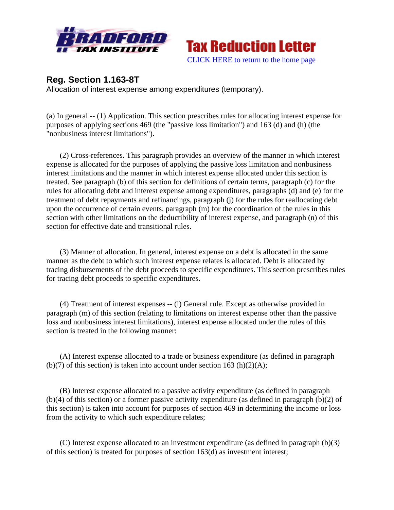



## **Reg. Section 1.163-8T**

Allocation of interest expense among expenditures (temporary).

(a) In general -- (1) Application. This section prescribes rules for allocating interest expense for purposes of applying sections 469 (the "passive loss limitation") and 163 (d) and (h) (the "nonbusiness interest limitations").

 (2) Cross-references. This paragraph provides an overview of the manner in which interest expense is allocated for the purposes of applying the passive loss limitation and nonbusiness interest limitations and the manner in which interest expense allocated under this section is treated. See paragraph (b) of this section for definitions of certain terms, paragraph (c) for the rules for allocating debt and interest expense among expenditures, paragraphs (d) and (e) for the treatment of debt repayments and refinancings, paragraph (j) for the rules for reallocating debt upon the occurrence of certain events, paragraph (m) for the coordination of the rules in this section with other limitations on the deductibility of interest expense, and paragraph (n) of this section for effective date and transitional rules.

 (3) Manner of allocation. In general, interest expense on a debt is allocated in the same manner as the debt to which such interest expense relates is allocated. Debt is allocated by tracing disbursements of the debt proceeds to specific expenditures. This section prescribes rules for tracing debt proceeds to specific expenditures.

 (4) Treatment of interest expenses -- (i) General rule. Except as otherwise provided in paragraph (m) of this section (relating to limitations on interest expense other than the passive loss and nonbusiness interest limitations), interest expense allocated under the rules of this section is treated in the following manner:

 (A) Interest expense allocated to a trade or business expenditure (as defined in paragraph (b)(7) of this section) is taken into account under section 163 (h)(2)(A);

 (B) Interest expense allocated to a passive activity expenditure (as defined in paragraph (b)(4) of this section) or a former passive activity expenditure (as defined in paragraph (b)(2) of this section) is taken into account for purposes of section 469 in determining the income or loss from the activity to which such expenditure relates;

 (C) Interest expense allocated to an investment expenditure (as defined in paragraph (b)(3) of this section) is treated for purposes of section 163(d) as investment interest;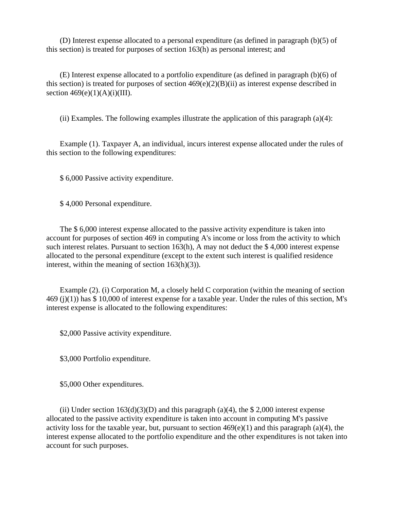(D) Interest expense allocated to a personal expenditure (as defined in paragraph (b)(5) of this section) is treated for purposes of section 163(h) as personal interest; and

 (E) Interest expense allocated to a portfolio expenditure (as defined in paragraph (b)(6) of this section) is treated for purposes of section  $469(e)(2)(B)(ii)$  as interest expense described in section  $469(e)(1)(A)(i)(III)$ .

(ii) Examples. The following examples illustrate the application of this paragraph (a)(4):

 Example (1). Taxpayer A, an individual, incurs interest expense allocated under the rules of this section to the following expenditures:

\$ 6,000 Passive activity expenditure.

\$ 4,000 Personal expenditure.

 The \$ 6,000 interest expense allocated to the passive activity expenditure is taken into account for purposes of section 469 in computing A's income or loss from the activity to which such interest relates. Pursuant to section 163(h), A may not deduct the \$ 4,000 interest expense allocated to the personal expenditure (except to the extent such interest is qualified residence interest, within the meaning of section 163(h)(3)).

 Example (2). (i) Corporation M, a closely held C corporation (within the meaning of section 469 (j)(1)) has \$ 10,000 of interest expense for a taxable year. Under the rules of this section, M's interest expense is allocated to the following expenditures:

\$2,000 Passive activity expenditure.

\$3,000 Portfolio expenditure.

\$5,000 Other expenditures.

(ii) Under section  $163(d)(3)(D)$  and this paragraph (a)(4), the \$ 2,000 interest expense allocated to the passive activity expenditure is taken into account in computing M's passive activity loss for the taxable year, but, pursuant to section  $469(e)(1)$  and this paragraph (a)(4), the interest expense allocated to the portfolio expenditure and the other expenditures is not taken into account for such purposes.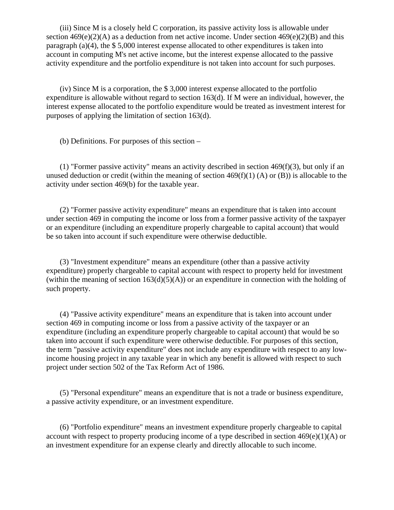(iii) Since M is a closely held C corporation, its passive activity loss is allowable under section  $469(e)(2)$ (A) as a deduction from net active income. Under section  $469(e)(2)$ (B) and this paragraph (a)(4), the \$ 5,000 interest expense allocated to other expenditures is taken into account in computing M's net active income, but the interest expense allocated to the passive activity expenditure and the portfolio expenditure is not taken into account for such purposes.

 (iv) Since M is a corporation, the \$ 3,000 interest expense allocated to the portfolio expenditure is allowable without regard to section  $163(d)$ . If M were an individual, however, the interest expense allocated to the portfolio expenditure would be treated as investment interest for purposes of applying the limitation of section 163(d).

(b) Definitions. For purposes of this section –

 (1) "Former passive activity" means an activity described in section 469(f)(3), but only if an unused deduction or credit (within the meaning of section  $469(f)(1)$  (A) or (B)) is allocable to the activity under section 469(b) for the taxable year.

 (2) "Former passive activity expenditure" means an expenditure that is taken into account under section 469 in computing the income or loss from a former passive activity of the taxpayer or an expenditure (including an expenditure properly chargeable to capital account) that would be so taken into account if such expenditure were otherwise deductible.

 (3) "Investment expenditure" means an expenditure (other than a passive activity expenditure) properly chargeable to capital account with respect to property held for investment (within the meaning of section  $163(d)(5)(A)$ ) or an expenditure in connection with the holding of such property.

 (4) "Passive activity expenditure" means an expenditure that is taken into account under section 469 in computing income or loss from a passive activity of the taxpayer or an expenditure (including an expenditure properly chargeable to capital account) that would be so taken into account if such expenditure were otherwise deductible. For purposes of this section, the term "passive activity expenditure" does not include any expenditure with respect to any lowincome housing project in any taxable year in which any benefit is allowed with respect to such project under section 502 of the Tax Reform Act of 1986.

 (5) "Personal expenditure" means an expenditure that is not a trade or business expenditure, a passive activity expenditure, or an investment expenditure.

 (6) "Portfolio expenditure" means an investment expenditure properly chargeable to capital account with respect to property producing income of a type described in section  $469(e)(1)(A)$  or an investment expenditure for an expense clearly and directly allocable to such income.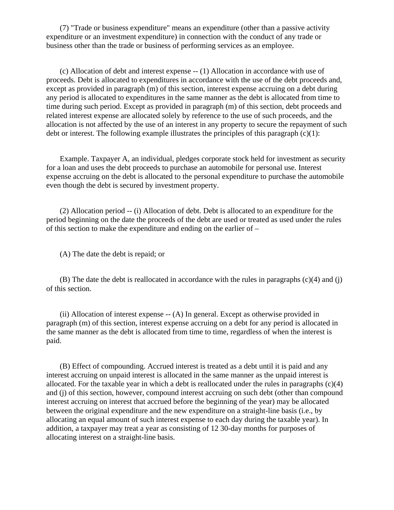(7) "Trade or business expenditure" means an expenditure (other than a passive activity expenditure or an investment expenditure) in connection with the conduct of any trade or business other than the trade or business of performing services as an employee.

 (c) Allocation of debt and interest expense -- (1) Allocation in accordance with use of proceeds. Debt is allocated to expenditures in accordance with the use of the debt proceeds and, except as provided in paragraph (m) of this section, interest expense accruing on a debt during any period is allocated to expenditures in the same manner as the debt is allocated from time to time during such period. Except as provided in paragraph (m) of this section, debt proceeds and related interest expense are allocated solely by reference to the use of such proceeds, and the allocation is not affected by the use of an interest in any property to secure the repayment of such debt or interest. The following example illustrates the principles of this paragraph  $(c)(1)$ :

 Example. Taxpayer A, an individual, pledges corporate stock held for investment as security for a loan and uses the debt proceeds to purchase an automobile for personal use. Interest expense accruing on the debt is allocated to the personal expenditure to purchase the automobile even though the debt is secured by investment property.

 (2) Allocation period -- (i) Allocation of debt. Debt is allocated to an expenditure for the period beginning on the date the proceeds of the debt are used or treated as used under the rules of this section to make the expenditure and ending on the earlier of –

(A) The date the debt is repaid; or

 (B) The date the debt is reallocated in accordance with the rules in paragraphs (c)(4) and (j) of this section.

 (ii) Allocation of interest expense -- (A) In general. Except as otherwise provided in paragraph (m) of this section, interest expense accruing on a debt for any period is allocated in the same manner as the debt is allocated from time to time, regardless of when the interest is paid.

 (B) Effect of compounding. Accrued interest is treated as a debt until it is paid and any interest accruing on unpaid interest is allocated in the same manner as the unpaid interest is allocated. For the taxable year in which a debt is reallocated under the rules in paragraphs (c)(4) and (j) of this section, however, compound interest accruing on such debt (other than compound interest accruing on interest that accrued before the beginning of the year) may be allocated between the original expenditure and the new expenditure on a straight-line basis (i.e., by allocating an equal amount of such interest expense to each day during the taxable year). In addition, a taxpayer may treat a year as consisting of 12 30-day months for purposes of allocating interest on a straight-line basis.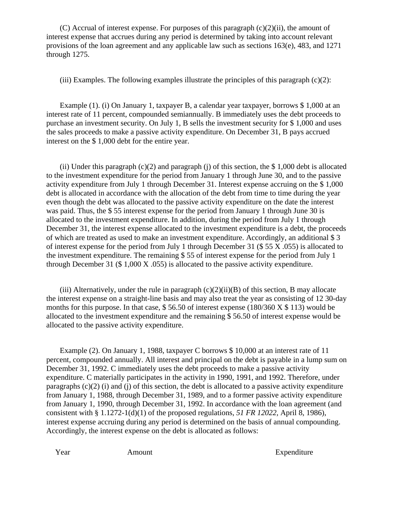(C) Accrual of interest expense. For purposes of this paragraph  $(c)(2)(ii)$ , the amount of interest expense that accrues during any period is determined by taking into account relevant provisions of the loan agreement and any applicable law such as sections 163(e), 483, and 1271 through 1275.

(iii) Examples. The following examples illustrate the principles of this paragraph  $(c)(2)$ :

 Example (1). (i) On January 1, taxpayer B, a calendar year taxpayer, borrows \$ 1,000 at an interest rate of 11 percent, compounded semiannually. B immediately uses the debt proceeds to purchase an investment security. On July 1, B sells the investment security for \$ 1,000 and uses the sales proceeds to make a passive activity expenditure. On December 31, B pays accrued interest on the \$ 1,000 debt for the entire year.

(ii) Under this paragraph  $(c)(2)$  and paragraph (j) of this section, the \$1,000 debt is allocated to the investment expenditure for the period from January 1 through June 30, and to the passive activity expenditure from July 1 through December 31. Interest expense accruing on the \$ 1,000 debt is allocated in accordance with the allocation of the debt from time to time during the year even though the debt was allocated to the passive activity expenditure on the date the interest was paid. Thus, the \$ 55 interest expense for the period from January 1 through June 30 is allocated to the investment expenditure. In addition, during the period from July 1 through December 31, the interest expense allocated to the investment expenditure is a debt, the proceeds of which are treated as used to make an investment expenditure. Accordingly, an additional \$ 3 of interest expense for the period from July 1 through December 31 (\$ 55 X .055) is allocated to the investment expenditure. The remaining \$ 55 of interest expense for the period from July 1 through December 31 (\$ 1,000 X .055) is allocated to the passive activity expenditure.

(iii) Alternatively, under the rule in paragraph  $(c)(2)(ii)(B)$  of this section, B may allocate the interest expense on a straight-line basis and may also treat the year as consisting of 12 30-day months for this purpose. In that case,  $$56.50$  of interest expense (180/360 X  $$113$ ) would be allocated to the investment expenditure and the remaining \$ 56.50 of interest expense would be allocated to the passive activity expenditure.

 Example (2). On January 1, 1988, taxpayer C borrows \$ 10,000 at an interest rate of 11 percent, compounded annually. All interest and principal on the debt is payable in a lump sum on December 31, 1992. C immediately uses the debt proceeds to make a passive activity expenditure. C materially participates in the activity in 1990, 1991, and 1992. Therefore, under paragraphs  $(c)(2)$  (i) and (j) of this section, the debt is allocated to a passive activity expenditure from January 1, 1988, through December 31, 1989, and to a former passive activity expenditure from January 1, 1990, through December 31, 1992. In accordance with the loan agreement (and consistent with § 1.1272-1(d)(1) of the proposed regulations, *51 FR 12022,* April 8, 1986), interest expense accruing during any period is determined on the basis of annual compounding. Accordingly, the interest expense on the debt is allocated as follows:

Year Amount Amount Expenditure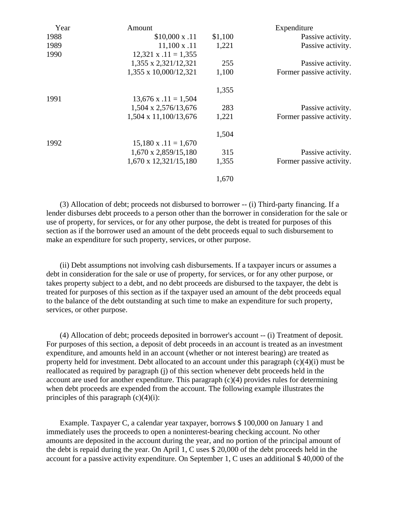| Year | Amount                      |         | Expenditure              |
|------|-----------------------------|---------|--------------------------|
| 1988 | $$10,000 \times .11$        | \$1,100 | Passive activity.        |
| 1989 | $11,100 \text{ x } .11$     | 1,221   | Passive activity.        |
| 1990 | $12,321 \times .11 = 1,355$ |         |                          |
|      | 1,355 x 2,321/12,321        | 255     | Passive activity.        |
|      | 1,355 x 10,000/12,321       | 1,100   | Former passive activity. |
|      |                             | 1,355   |                          |
| 1991 | $13,676$ x $.11 = 1,504$    |         |                          |
|      | 1,504 x 2,576/13,676        | 283     | Passive activity.        |
|      | 1,504 x 11,100/13,676       | 1,221   | Former passive activity. |
|      |                             | 1,504   |                          |
| 1992 | $15,180 \times .11 = 1,670$ |         |                          |
|      | $1,670 \times 2,859/15,180$ | 315     | Passive activity.        |
|      | 1,670 x 12,321/15,180       | 1,355   | Former passive activity. |
|      |                             | 1,670   |                          |
|      |                             |         |                          |

 (3) Allocation of debt; proceeds not disbursed to borrower -- (i) Third-party financing. If a lender disburses debt proceeds to a person other than the borrower in consideration for the sale or use of property, for services, or for any other purpose, the debt is treated for purposes of this section as if the borrower used an amount of the debt proceeds equal to such disbursement to make an expenditure for such property, services, or other purpose.

 (ii) Debt assumptions not involving cash disbursements. If a taxpayer incurs or assumes a debt in consideration for the sale or use of property, for services, or for any other purpose, or takes property subject to a debt, and no debt proceeds are disbursed to the taxpayer, the debt is treated for purposes of this section as if the taxpayer used an amount of the debt proceeds equal to the balance of the debt outstanding at such time to make an expenditure for such property, services, or other purpose.

 (4) Allocation of debt; proceeds deposited in borrower's account -- (i) Treatment of deposit. For purposes of this section, a deposit of debt proceeds in an account is treated as an investment expenditure, and amounts held in an account (whether or not interest bearing) are treated as property held for investment. Debt allocated to an account under this paragraph (c)(4)(i) must be reallocated as required by paragraph (j) of this section whenever debt proceeds held in the account are used for another expenditure. This paragraph  $(c)(4)$  provides rules for determining when debt proceeds are expended from the account. The following example illustrates the principles of this paragraph  $(c)(4)(i)$ :

 Example. Taxpayer C, a calendar year taxpayer, borrows \$ 100,000 on January 1 and immediately uses the proceeds to open a noninterest-bearing checking account. No other amounts are deposited in the account during the year, and no portion of the principal amount of the debt is repaid during the year. On April 1, C uses \$ 20,000 of the debt proceeds held in the account for a passive activity expenditure. On September 1, C uses an additional \$ 40,000 of the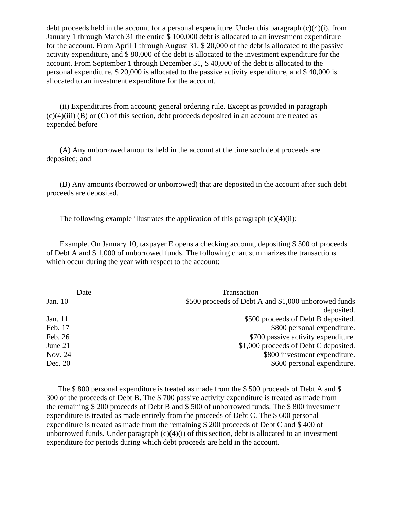debt proceeds held in the account for a personal expenditure. Under this paragraph  $(c)(4)(i)$ , from January 1 through March 31 the entire \$ 100,000 debt is allocated to an investment expenditure for the account. From April 1 through August 31, \$ 20,000 of the debt is allocated to the passive activity expenditure, and \$ 80,000 of the debt is allocated to the investment expenditure for the account. From September 1 through December 31, \$ 40,000 of the debt is allocated to the personal expenditure, \$ 20,000 is allocated to the passive activity expenditure, and \$ 40,000 is allocated to an investment expenditure for the account.

 (ii) Expenditures from account; general ordering rule. Except as provided in paragraph  $(c)(4)(iii)$  (B) or  $(C)$  of this section, debt proceeds deposited in an account are treated as expended before –

 (A) Any unborrowed amounts held in the account at the time such debt proceeds are deposited; and

 (B) Any amounts (borrowed or unborrowed) that are deposited in the account after such debt proceeds are deposited.

The following example illustrates the application of this paragraph  $(c)(4)(ii)$ :

 Example. On January 10, taxpayer E opens a checking account, depositing \$ 500 of proceeds of Debt A and \$ 1,000 of unborrowed funds. The following chart summarizes the transactions which occur during the year with respect to the account:

|         | Date | Transaction                                          |
|---------|------|------------------------------------------------------|
| Jan. 10 |      | \$500 proceeds of Debt A and \$1,000 unborowed funds |
|         |      | deposited.                                           |
| Jan. 11 |      | \$500 proceeds of Debt B deposited.                  |
| Feb. 17 |      | \$800 personal expenditure.                          |
| Feb. 26 |      | \$700 passive activity expenditure.                  |
| June 21 |      | \$1,000 proceeds of Debt C deposited.                |
| Nov. 24 |      | \$800 investment expenditure.                        |
| Dec. 20 |      | \$600 personal expenditure.                          |

The \$ 800 personal expenditure is treated as made from the \$ 500 proceeds of Debt A and \$ 300 of the proceeds of Debt B. The \$ 700 passive activity expenditure is treated as made from the remaining \$ 200 proceeds of Debt B and \$ 500 of unborrowed funds. The \$ 800 investment expenditure is treated as made entirely from the proceeds of Debt C. The \$ 600 personal expenditure is treated as made from the remaining \$ 200 proceeds of Debt C and \$ 400 of unborrowed funds. Under paragraph  $(c)(4)(i)$  of this section, debt is allocated to an investment expenditure for periods during which debt proceeds are held in the account.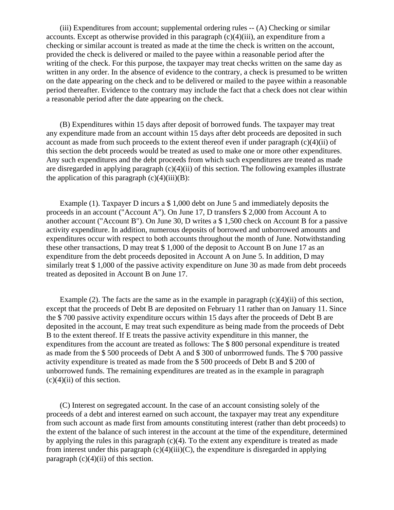(iii) Expenditures from account; supplemental ordering rules -- (A) Checking or similar accounts. Except as otherwise provided in this paragraph (c)(4)(iii), an expenditure from a checking or similar account is treated as made at the time the check is written on the account, provided the check is delivered or mailed to the payee within a reasonable period after the writing of the check. For this purpose, the taxpayer may treat checks written on the same day as written in any order. In the absence of evidence to the contrary, a check is presumed to be written on the date appearing on the check and to be delivered or mailed to the payee within a reasonable period thereafter. Evidence to the contrary may include the fact that a check does not clear within a reasonable period after the date appearing on the check.

 (B) Expenditures within 15 days after deposit of borrowed funds. The taxpayer may treat any expenditure made from an account within 15 days after debt proceeds are deposited in such account as made from such proceeds to the extent thereof even if under paragraph  $(c)(4)(ii)$  of this section the debt proceeds would be treated as used to make one or more other expenditures. Any such expenditures and the debt proceeds from which such expenditures are treated as made are disregarded in applying paragraph (c)(4)(ii) of this section. The following examples illustrate the application of this paragraph  $(c)(4)(iii)(B)$ :

 Example (1). Taxpayer D incurs a \$ 1,000 debt on June 5 and immediately deposits the proceeds in an account ("Account A"). On June 17, D transfers \$ 2,000 from Account A to another account ("Account B"). On June 30, D writes a \$ 1,500 check on Account B for a passive activity expenditure. In addition, numerous deposits of borrowed and unborrowed amounts and expenditures occur with respect to both accounts throughout the month of June. Notwithstanding these other transactions, D may treat \$ 1,000 of the deposit to Account B on June 17 as an expenditure from the debt proceeds deposited in Account A on June 5. In addition, D may similarly treat \$ 1,000 of the passive activity expenditure on June 30 as made from debt proceeds treated as deposited in Account B on June 17.

Example (2). The facts are the same as in the example in paragraph  $(c)(4)(ii)$  of this section, except that the proceeds of Debt B are deposited on February 11 rather than on January 11. Since the \$ 700 passive activity expenditure occurs within 15 days after the proceeds of Debt B are deposited in the account, E may treat such expenditure as being made from the proceeds of Debt B to the extent thereof. If E treats the passive activity expenditure in this manner, the expenditures from the account are treated as follows: The \$ 800 personal expenditure is treated as made from the \$ 500 proceeds of Debt A and \$ 300 of unborrrowed funds. The \$ 700 passive activity expenditure is treated as made from the \$ 500 proceeds of Debt B and \$ 200 of unborrowed funds. The remaining expenditures are treated as in the example in paragraph  $(c)(4)(ii)$  of this section.

 (C) Interest on segregated account. In the case of an account consisting solely of the proceeds of a debt and interest earned on such account, the taxpayer may treat any expenditure from such account as made first from amounts constituting interest (rather than debt proceeds) to the extent of the balance of such interest in the account at the time of the expenditure, determined by applying the rules in this paragraph  $(c)(4)$ . To the extent any expenditure is treated as made from interest under this paragraph  $(c)(4)(iii)(C)$ , the expenditure is disregarded in applying paragraph  $(c)(4)(ii)$  of this section.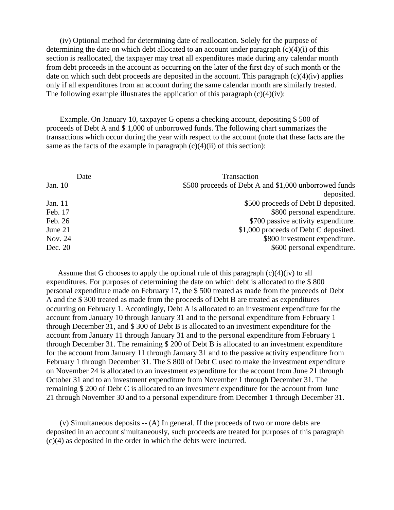(iv) Optional method for determining date of reallocation. Solely for the purpose of determining the date on which debt allocated to an account under paragraph  $(c)(4)(i)$  of this section is reallocated, the taxpayer may treat all expenditures made during any calendar month from debt proceeds in the account as occurring on the later of the first day of such month or the date on which such debt proceeds are deposited in the account. This paragraph  $(c)(4)(iv)$  applies only if all expenditures from an account during the same calendar month are similarly treated. The following example illustrates the application of this paragraph  $(c)(4)(iv)$ :

 Example. On January 10, taxpayer G opens a checking account, depositing \$ 500 of proceeds of Debt A and \$ 1,000 of unborrowed funds. The following chart summarizes the transactions which occur during the year with respect to the account (note that these facts are the same as the facts of the example in paragraph  $(c)(4)(ii)$  of this section):

|         | Date | Transaction                                           |
|---------|------|-------------------------------------------------------|
| Jan. 10 |      | \$500 proceeds of Debt A and \$1,000 unborrowed funds |
|         |      | deposited.                                            |
| Jan. 11 |      | \$500 proceeds of Debt B deposited.                   |
| Feb. 17 |      | \$800 personal expenditure.                           |
| Feb. 26 |      | \$700 passive activity expenditure.                   |
| June 21 |      | \$1,000 proceeds of Debt C deposited.                 |
| Nov. 24 |      | \$800 investment expenditure.                         |
| Dec. 20 |      | \$600 personal expenditure.                           |
|         |      |                                                       |

Assume that G chooses to apply the optional rule of this paragraph (c)(4)(iv) to all expenditures. For purposes of determining the date on which debt is allocated to the \$ 800 personal expenditure made on February 17, the \$ 500 treated as made from the proceeds of Debt A and the \$ 300 treated as made from the proceeds of Debt B are treated as expenditures occurring on February 1. Accordingly, Debt A is allocated to an investment expenditure for the account from January 10 through January 31 and to the personal expenditure from February 1 through December 31, and \$ 300 of Debt B is allocated to an investment expenditure for the account from January 11 through January 31 and to the personal expenditure from February 1 through December 31. The remaining \$ 200 of Debt B is allocated to an investment expenditure for the account from January 11 through January 31 and to the passive activity expenditure from February 1 through December 31. The \$ 800 of Debt C used to make the investment expenditure on November 24 is allocated to an investment expenditure for the account from June 21 through October 31 and to an investment expenditure from November 1 through December 31. The remaining \$ 200 of Debt C is allocated to an investment expenditure for the account from June 21 through November 30 and to a personal expenditure from December 1 through December 31.

 (v) Simultaneous deposits -- (A) In general. If the proceeds of two or more debts are deposited in an account simultaneously, such proceeds are treated for purposes of this paragraph (c)(4) as deposited in the order in which the debts were incurred.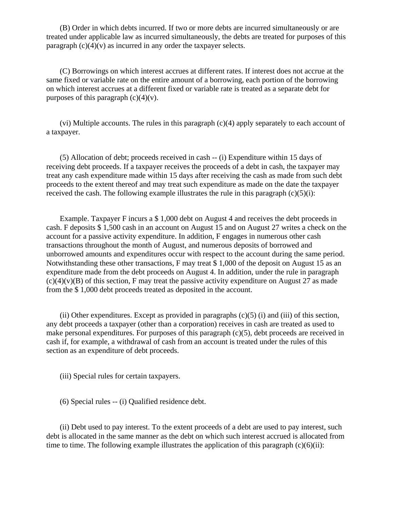(B) Order in which debts incurred. If two or more debts are incurred simultaneously or are treated under applicable law as incurred simultaneously, the debts are treated for purposes of this paragraph  $(c)(4)(v)$  as incurred in any order the taxpayer selects.

 (C) Borrowings on which interest accrues at different rates. If interest does not accrue at the same fixed or variable rate on the entire amount of a borrowing, each portion of the borrowing on which interest accrues at a different fixed or variable rate is treated as a separate debt for purposes of this paragraph  $(c)(4)(v)$ .

 (vi) Multiple accounts. The rules in this paragraph (c)(4) apply separately to each account of a taxpayer.

 (5) Allocation of debt; proceeds received in cash -- (i) Expenditure within 15 days of receiving debt proceeds. If a taxpayer receives the proceeds of a debt in cash, the taxpayer may treat any cash expenditure made within 15 days after receiving the cash as made from such debt proceeds to the extent thereof and may treat such expenditure as made on the date the taxpayer received the cash. The following example illustrates the rule in this paragraph  $(c)(5)(i)$ :

 Example. Taxpayer F incurs a \$ 1,000 debt on August 4 and receives the debt proceeds in cash. F deposits \$ 1,500 cash in an account on August 15 and on August 27 writes a check on the account for a passive activity expenditure. In addition, F engages in numerous other cash transactions throughout the month of August, and numerous deposits of borrowed and unborrowed amounts and expenditures occur with respect to the account during the same period. Notwithstanding these other transactions, F may treat \$ 1,000 of the deposit on August 15 as an expenditure made from the debt proceeds on August 4. In addition, under the rule in paragraph  $(c)(4)(v)(B)$  of this section, F may treat the passive activity expenditure on August 27 as made from the \$ 1,000 debt proceeds treated as deposited in the account.

(ii) Other expenditures. Except as provided in paragraphs  $(c)(5)$  (i) and (iii) of this section, any debt proceeds a taxpayer (other than a corporation) receives in cash are treated as used to make personal expenditures. For purposes of this paragraph (c)(5), debt proceeds are received in cash if, for example, a withdrawal of cash from an account is treated under the rules of this section as an expenditure of debt proceeds.

(iii) Special rules for certain taxpayers.

(6) Special rules -- (i) Qualified residence debt.

 (ii) Debt used to pay interest. To the extent proceeds of a debt are used to pay interest, such debt is allocated in the same manner as the debt on which such interest accrued is allocated from time to time. The following example illustrates the application of this paragraph  $(c)(6)(ii)$ :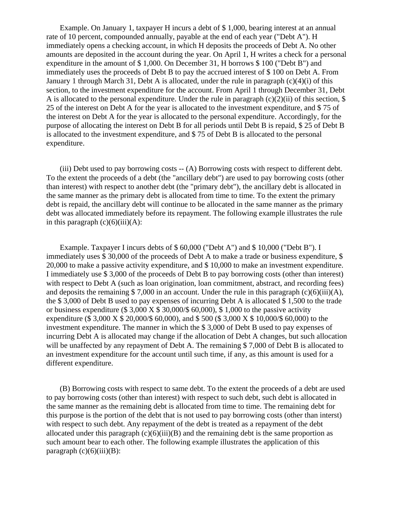Example. On January 1, taxpayer H incurs a debt of \$ 1,000, bearing interest at an annual rate of 10 percent, compounded annually, payable at the end of each year ("Debt A"). H immediately opens a checking account, in which H deposits the proceeds of Debt A. No other amounts are deposited in the account during the year. On April 1, H writes a check for a personal expenditure in the amount of \$ 1,000. On December 31, H borrows \$ 100 ("Debt B") and immediately uses the proceeds of Debt B to pay the accrued interest of \$ 100 on Debt A. From January 1 through March 31, Debt A is allocated, under the rule in paragraph (c)(4)(i) of this section, to the investment expenditure for the account. From April 1 through December 31, Debt A is allocated to the personal expenditure. Under the rule in paragraph  $(c)(2)(ii)$  of this section, \$ 25 of the interest on Debt A for the year is allocated to the investment expenditure, and \$ 75 of the interest on Debt A for the year is allocated to the personal expenditure. Accordingly, for the purpose of allocating the interest on Debt B for all periods until Debt B is repaid, \$ 25 of Debt B is allocated to the investment expenditure, and \$ 75 of Debt B is allocated to the personal expenditure.

 (iii) Debt used to pay borrowing costs -- (A) Borrowing costs with respect to different debt. To the extent the proceeds of a debt (the "ancillary debt") are used to pay borrowing costs (other than interest) with respect to another debt (the "primary debt"), the ancillary debt is allocated in the same manner as the primary debt is allocated from time to time. To the extent the primary debt is repaid, the ancillary debt will continue to be allocated in the same manner as the primary debt was allocated immediately before its repayment. The following example illustrates the rule in this paragraph  $(c)(6)(iii)(A)$ :

 Example. Taxpayer I incurs debts of \$ 60,000 ("Debt A") and \$ 10,000 ("Debt B"). I immediately uses \$ 30,000 of the proceeds of Debt A to make a trade or business expenditure, \$ 20,000 to make a passive activity expenditure, and \$ 10,000 to make an investment expenditure. I immediately use \$ 3,000 of the proceeds of Debt B to pay borrowing costs (other than interest) with respect to Debt A (such as loan origination, loan commitment, abstract, and recording fees) and deposits the remaining  $$ 7,000$  in an account. Under the rule in this paragraph (c)(6)(iii)(A), the \$ 3,000 of Debt B used to pay expenses of incurring Debt A is allocated \$ 1,500 to the trade or business expenditure (\$ 3,000 X  $$30,000/\$$  60,000), \$ 1,000 to the passive activity expenditure (\$ 3,000 X \$ 20,000/\$ 60,000), and \$ 500 (\$ 3,000 X \$ 10,000/\$ 60,000) to the investment expenditure. The manner in which the \$ 3,000 of Debt B used to pay expenses of incurring Debt A is allocated may change if the allocation of Debt A changes, but such allocation will be unaffected by any repayment of Debt A. The remaining \$7,000 of Debt B is allocated to an investment expenditure for the account until such time, if any, as this amount is used for a different expenditure.

 (B) Borrowing costs with respect to same debt. To the extent the proceeds of a debt are used to pay borrowing costs (other than interest) with respect to such debt, such debt is allocated in the same manner as the remaining debt is allocated from time to time. The remaining debt for this purpose is the portion of the debt that is not used to pay borrowing costs (other than interst) with respect to such debt. Any repayment of the debt is treated as a repayment of the debt allocated under this paragraph  $(c)(6)(iii)(B)$  and the remaining debt is the same proportion as such amount bear to each other. The following example illustrates the application of this paragraph  $(c)(6)(iii)(B)$ :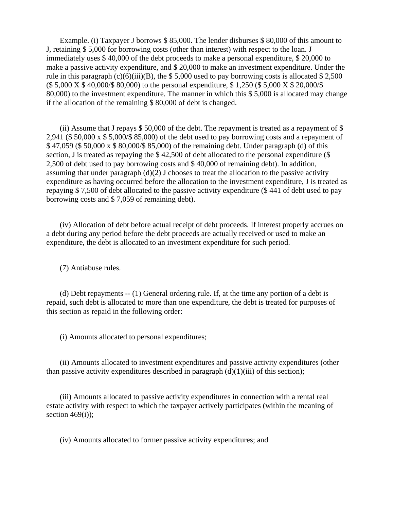Example. (i) Taxpayer J borrows \$ 85,000. The lender disburses \$ 80,000 of this amount to J, retaining \$ 5,000 for borrowing costs (other than interest) with respect to the loan. J immediately uses \$ 40,000 of the debt proceeds to make a personal expenditure, \$ 20,000 to make a passive activity expenditure, and \$ 20,000 to make an investment expenditure. Under the rule in this paragraph (c)(6)(iii)(B), the  $$5,000$  used to pay borrowing costs is allocated  $$2,500$ (\$ 5,000 X \$ 40,000/\$ 80,000) to the personal expenditure, \$ 1,250 (\$ 5,000 X \$ 20,000/\$ 80,000) to the investment expenditure. The manner in which this \$ 5,000 is allocated may change if the allocation of the remaining \$ 80,000 of debt is changed.

 (ii) Assume that J repays \$ 50,000 of the debt. The repayment is treated as a repayment of \$ 2,941 (\$ 50,000 x \$ 5,000/\$ 85,000) of the debt used to pay borrowing costs and a repayment of \$ 47,059 (\$ 50,000 x \$ 80,000/\$ 85,000) of the remaining debt. Under paragraph (d) of this section, J is treated as repaying the \$42,500 of debt allocated to the personal expenditure (\$ 2,500 of debt used to pay borrowing costs and \$ 40,000 of remaining debt). In addition, assuming that under paragraph  $(d)(2)$  J chooses to treat the allocation to the passive activity expenditure as having occurred before the allocation to the investment expenditure, J is treated as repaying \$ 7,500 of debt allocated to the passive activity expenditure (\$ 441 of debt used to pay borrowing costs and \$ 7,059 of remaining debt).

 (iv) Allocation of debt before actual receipt of debt proceeds. If interest properly accrues on a debt during any period before the debt proceeds are actually received or used to make an expenditure, the debt is allocated to an investment expenditure for such period.

(7) Antiabuse rules.

 (d) Debt repayments -- (1) General ordering rule. If, at the time any portion of a debt is repaid, such debt is allocated to more than one expenditure, the debt is treated for purposes of this section as repaid in the following order:

(i) Amounts allocated to personal expenditures;

 (ii) Amounts allocated to investment expenditures and passive activity expenditures (other than passive activity expenditures described in paragraph  $(d)(1)(iii)$  of this section);

 (iii) Amounts allocated to passive activity expenditures in connection with a rental real estate activity with respect to which the taxpayer actively participates (within the meaning of section  $469(i)$ ;

(iv) Amounts allocated to former passive activity expenditures; and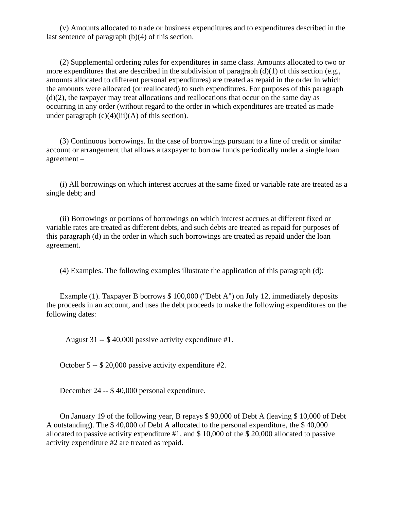(v) Amounts allocated to trade or business expenditures and to expenditures described in the last sentence of paragraph (b)(4) of this section.

 (2) Supplemental ordering rules for expenditures in same class. Amounts allocated to two or more expenditures that are described in the subdivision of paragraph (d)(1) of this section (e.g., amounts allocated to different personal expenditures) are treated as repaid in the order in which the amounts were allocated (or reallocated) to such expenditures. For purposes of this paragraph  $(d)(2)$ , the taxpayer may treat allocations and reallocations that occur on the same day as occurring in any order (without regard to the order in which expenditures are treated as made under paragraph  $(c)(4)(iii)(A)$  of this section).

 (3) Continuous borrowings. In the case of borrowings pursuant to a line of credit or similar account or arrangement that allows a taxpayer to borrow funds periodically under a single loan agreement –

 (i) All borrowings on which interest accrues at the same fixed or variable rate are treated as a single debt; and

 (ii) Borrowings or portions of borrowings on which interest accrues at different fixed or variable rates are treated as different debts, and such debts are treated as repaid for purposes of this paragraph (d) in the order in which such borrowings are treated as repaid under the loan agreement.

(4) Examples. The following examples illustrate the application of this paragraph (d):

 Example (1). Taxpayer B borrows \$ 100,000 ("Debt A") on July 12, immediately deposits the proceeds in an account, and uses the debt proceeds to make the following expenditures on the following dates:

August 31 -- \$ 40,000 passive activity expenditure #1.

October 5 -- \$ 20,000 passive activity expenditure #2.

December 24 -- \$ 40,000 personal expenditure.

 On January 19 of the following year, B repays \$ 90,000 of Debt A (leaving \$ 10,000 of Debt A outstanding). The \$ 40,000 of Debt A allocated to the personal expenditure, the \$ 40,000 allocated to passive activity expenditure #1, and \$ 10,000 of the \$ 20,000 allocated to passive activity expenditure #2 are treated as repaid.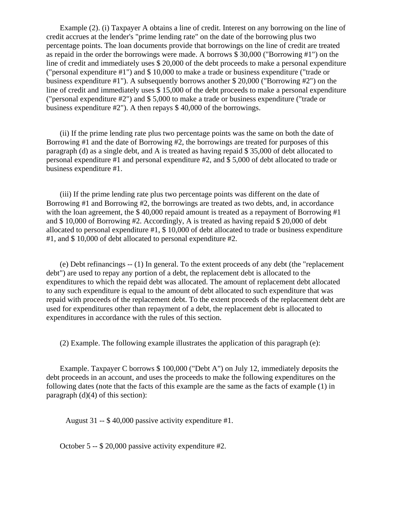Example (2). (i) Taxpayer A obtains a line of credit. Interest on any borrowing on the line of credit accrues at the lender's "prime lending rate" on the date of the borrowing plus two percentage points. The loan documents provide that borrowings on the line of credit are treated as repaid in the order the borrowings were made. A borrows \$ 30,000 ("Borrowing #1") on the line of credit and immediately uses \$ 20,000 of the debt proceeds to make a personal expenditure ("personal expenditure #1") and \$ 10,000 to make a trade or business expenditure ("trade or business expenditure #1"). A subsequently borrows another \$ 20,000 ("Borrowing #2") on the line of credit and immediately uses \$ 15,000 of the debt proceeds to make a personal expenditure ("personal expenditure #2") and \$ 5,000 to make a trade or business expenditure ("trade or business expenditure #2"). A then repays \$ 40,000 of the borrowings.

 (ii) If the prime lending rate plus two percentage points was the same on both the date of Borrowing #1 and the date of Borrowing #2, the borrowings are treated for purposes of this paragraph (d) as a single debt, and A is treated as having repaid \$ 35,000 of debt allocated to personal expenditure #1 and personal expenditure #2, and \$ 5,000 of debt allocated to trade or business expenditure #1.

 (iii) If the prime lending rate plus two percentage points was different on the date of Borrowing #1 and Borrowing #2, the borrowings are treated as two debts, and, in accordance with the loan agreement, the \$40,000 repaid amount is treated as a repayment of Borrowing #1 and \$ 10,000 of Borrowing #2. Accordingly, A is treated as having repaid \$ 20,000 of debt allocated to personal expenditure #1, \$ 10,000 of debt allocated to trade or business expenditure #1, and \$ 10,000 of debt allocated to personal expenditure #2.

 (e) Debt refinancings -- (1) In general. To the extent proceeds of any debt (the "replacement debt") are used to repay any portion of a debt, the replacement debt is allocated to the expenditures to which the repaid debt was allocated. The amount of replacement debt allocated to any such expenditure is equal to the amount of debt allocated to such expenditure that was repaid with proceeds of the replacement debt. To the extent proceeds of the replacement debt are used for expenditures other than repayment of a debt, the replacement debt is allocated to expenditures in accordance with the rules of this section.

(2) Example. The following example illustrates the application of this paragraph (e):

 Example. Taxpayer C borrows \$ 100,000 ("Debt A") on July 12, immediately deposits the debt proceeds in an account, and uses the proceeds to make the following expenditures on the following dates (note that the facts of this example are the same as the facts of example (1) in paragraph  $(d)(4)$  of this section):

August 31 -- \$ 40,000 passive activity expenditure #1.

October 5 -- \$ 20,000 passive activity expenditure #2.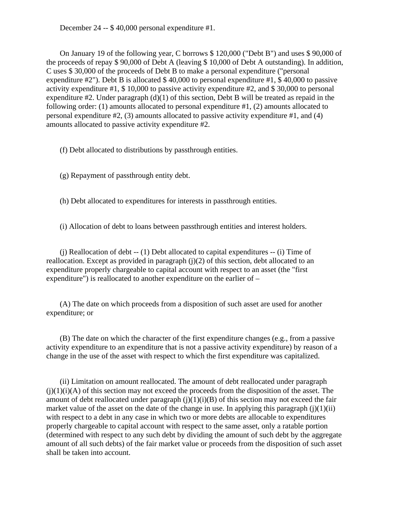December 24 -- \$ 40,000 personal expenditure #1.

 On January 19 of the following year, C borrows \$ 120,000 ("Debt B") and uses \$ 90,000 of the proceeds of repay \$ 90,000 of Debt A (leaving \$ 10,000 of Debt A outstanding). In addition, C uses \$ 30,000 of the proceeds of Debt B to make a personal expenditure ("personal expenditure  $\#2$ "). Debt B is allocated \$40,000 to personal expenditure  $\#1$ , \$40,000 to passive activity expenditure #1, \$ 10,000 to passive activity expenditure #2, and \$ 30,000 to personal expenditure  $#2$ . Under paragraph  $(d)(1)$  of this section, Debt B will be treated as repaid in the following order: (1) amounts allocated to personal expenditure #1, (2) amounts allocated to personal expenditure #2, (3) amounts allocated to passive activity expenditure #1, and (4) amounts allocated to passive activity expenditure #2.

(f) Debt allocated to distributions by passthrough entities.

(g) Repayment of passthrough entity debt.

(h) Debt allocated to expenditures for interests in passthrough entities.

(i) Allocation of debt to loans between passthrough entities and interest holders.

 (j) Reallocation of debt -- (1) Debt allocated to capital expenditures -- (i) Time of reallocation. Except as provided in paragraph (j)(2) of this section, debt allocated to an expenditure properly chargeable to capital account with respect to an asset (the "first expenditure") is reallocated to another expenditure on the earlier of –

 (A) The date on which proceeds from a disposition of such asset are used for another expenditure; or

 (B) The date on which the character of the first expenditure changes (e.g., from a passive activity expenditure to an expenditure that is not a passive activity expenditure) by reason of a change in the use of the asset with respect to which the first expenditure was capitalized.

 (ii) Limitation on amount reallocated. The amount of debt reallocated under paragraph  $(i)(1)(i)(A)$  of this section may not exceed the proceeds from the disposition of the asset. The amount of debt reallocated under paragraph  $(j)(1)(i)(B)$  of this section may not exceed the fair market value of the asset on the date of the change in use. In applying this paragraph  $(i)(1)(ii)$ with respect to a debt in any case in which two or more debts are allocable to expenditures properly chargeable to capital account with respect to the same asset, only a ratable portion (determined with respect to any such debt by dividing the amount of such debt by the aggregate amount of all such debts) of the fair market value or proceeds from the disposition of such asset shall be taken into account.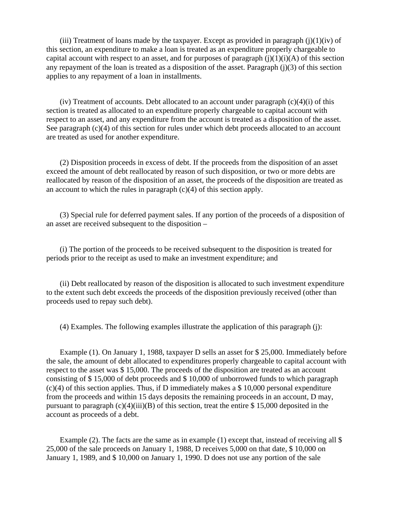(iii) Treatment of loans made by the taxpayer. Except as provided in paragraph  $(i)(1)(iv)$  of this section, an expenditure to make a loan is treated as an expenditure properly chargeable to capital account with respect to an asset, and for purposes of paragraph  $(j)(1)(i)(A)$  of this section any repayment of the loan is treated as a disposition of the asset. Paragraph (j)(3) of this section applies to any repayment of a loan in installments.

 $(iv)$  Treatment of accounts. Debt allocated to an account under paragraph  $(c)(4)(i)$  of this section is treated as allocated to an expenditure properly chargeable to capital account with respect to an asset, and any expenditure from the account is treated as a disposition of the asset. See paragraph (c)(4) of this section for rules under which debt proceeds allocated to an account are treated as used for another expenditure.

 (2) Disposition proceeds in excess of debt. If the proceeds from the disposition of an asset exceed the amount of debt reallocated by reason of such disposition, or two or more debts are reallocated by reason of the disposition of an asset, the proceeds of the disposition are treated as an account to which the rules in paragraph  $(c)(4)$  of this section apply.

 (3) Special rule for deferred payment sales. If any portion of the proceeds of a disposition of an asset are received subsequent to the disposition –

 (i) The portion of the proceeds to be received subsequent to the disposition is treated for periods prior to the receipt as used to make an investment expenditure; and

 (ii) Debt reallocated by reason of the disposition is allocated to such investment expenditure to the extent such debt exceeds the proceeds of the disposition previously received (other than proceeds used to repay such debt).

(4) Examples. The following examples illustrate the application of this paragraph (j):

 Example (1). On January 1, 1988, taxpayer D sells an asset for \$ 25,000. Immediately before the sale, the amount of debt allocated to expenditures properly chargeable to capital account with respect to the asset was \$ 15,000. The proceeds of the disposition are treated as an account consisting of \$ 15,000 of debt proceeds and \$ 10,000 of unborrowed funds to which paragraph (c)(4) of this section applies. Thus, if D immediately makes a \$ 10,000 personal expenditure from the proceeds and within 15 days deposits the remaining proceeds in an account, D may, pursuant to paragraph  $(c)(4)(iii)(B)$  of this section, treat the entire \$ 15,000 deposited in the account as proceeds of a debt.

Example (2). The facts are the same as in example (1) except that, instead of receiving all \$ 25,000 of the sale proceeds on January 1, 1988, D receives 5,000 on that date, \$ 10,000 on January 1, 1989, and \$ 10,000 on January 1, 1990. D does not use any portion of the sale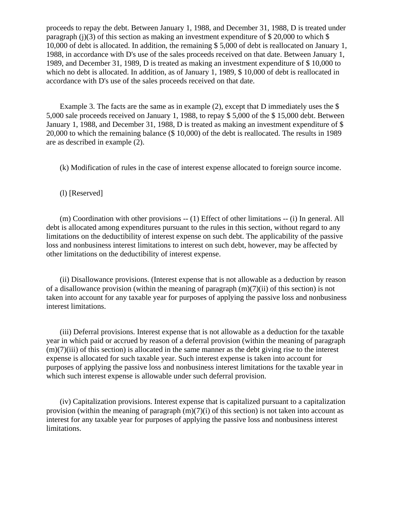proceeds to repay the debt. Between January 1, 1988, and December 31, 1988, D is treated under paragraph (j)(3) of this section as making an investment expenditure of  $$20,000$  to which  $$$ 10,000 of debt is allocated. In addition, the remaining \$ 5,000 of debt is reallocated on January 1, 1988, in accordance with D's use of the sales proceeds received on that date. Between January 1, 1989, and December 31, 1989, D is treated as making an investment expenditure of \$ 10,000 to which no debt is allocated. In addition, as of January 1, 1989, \$10,000 of debt is reallocated in accordance with D's use of the sales proceeds received on that date.

Example 3. The facts are the same as in example (2), except that D immediately uses the \$ 5,000 sale proceeds received on January 1, 1988, to repay \$ 5,000 of the \$ 15,000 debt. Between January 1, 1988, and December 31, 1988, D is treated as making an investment expenditure of \$ 20,000 to which the remaining balance (\$ 10,000) of the debt is reallocated. The results in 1989 are as described in example (2).

(k) Modification of rules in the case of interest expense allocated to foreign source income.

(l) [Reserved]

(m) Coordination with other provisions -- (1) Effect of other limitations -- (i) In general. All debt is allocated among expenditures pursuant to the rules in this section, without regard to any limitations on the deductibility of interest expense on such debt. The applicability of the passive loss and nonbusiness interest limitations to interest on such debt, however, may be affected by other limitations on the deductibility of interest expense.

 (ii) Disallowance provisions. (Interest expense that is not allowable as a deduction by reason of a disallowance provision (within the meaning of paragraph  $(m)(7)(ii)$  of this section) is not taken into account for any taxable year for purposes of applying the passive loss and nonbusiness interest limitations.

 (iii) Deferral provisions. Interest expense that is not allowable as a deduction for the taxable year in which paid or accrued by reason of a deferral provision (within the meaning of paragraph  $(m)(7)(iii)$  of this section) is allocated in the same manner as the debt giving rise to the interest expense is allocated for such taxable year. Such interest expense is taken into account for purposes of applying the passive loss and nonbusiness interest limitations for the taxable year in which such interest expense is allowable under such deferral provision.

 (iv) Capitalization provisions. Interest expense that is capitalized pursuant to a capitalization provision (within the meaning of paragraph  $(m)(7)(i)$  of this section) is not taken into account as interest for any taxable year for purposes of applying the passive loss and nonbusiness interest limitations.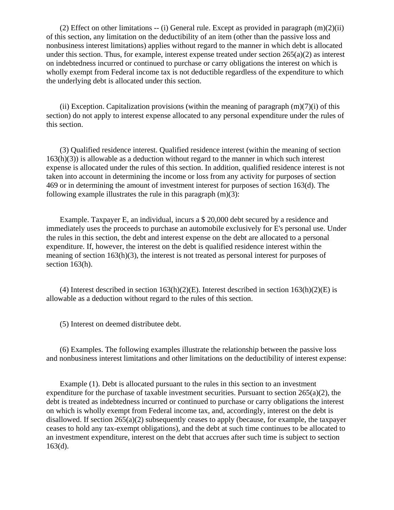(2) Effect on other limitations  $-$  (i) General rule. Except as provided in paragraph  $(m)(2)(ii)$ of this section, any limitation on the deductibility of an item (other than the passive loss and nonbusiness interest limitations) applies without regard to the manner in which debt is allocated under this section. Thus, for example, interest expense treated under section  $265(a)(2)$  as interest on indebtedness incurred or continued to purchase or carry obligations the interest on which is wholly exempt from Federal income tax is not deductible regardless of the expenditure to which the underlying debt is allocated under this section.

(ii) Exception. Capitalization provisions (within the meaning of paragraph  $(m)(7)(i)$  of this section) do not apply to interest expense allocated to any personal expenditure under the rules of this section.

 (3) Qualified residence interest. Qualified residence interest (within the meaning of section  $163(h)(3)$ ) is allowable as a deduction without regard to the manner in which such interest expense is allocated under the rules of this section. In addition, qualified residence interest is not taken into account in determining the income or loss from any activity for purposes of section 469 or in determining the amount of investment interest for purposes of section 163(d). The following example illustrates the rule in this paragraph  $(m)(3)$ :

 Example. Taxpayer E, an individual, incurs a \$ 20,000 debt secured by a residence and immediately uses the proceeds to purchase an automobile exclusively for E's personal use. Under the rules in this section, the debt and interest expense on the debt are allocated to a personal expenditure. If, however, the interest on the debt is qualified residence interest within the meaning of section  $163(h)(3)$ , the interest is not treated as personal interest for purposes of section 163(h).

(4) Interest described in section  $163(h)(2)(E)$ . Interest described in section  $163(h)(2)(E)$  is allowable as a deduction without regard to the rules of this section.

(5) Interest on deemed distributee debt.

 (6) Examples. The following examples illustrate the relationship between the passive loss and nonbusiness interest limitations and other limitations on the deductibility of interest expense:

 Example (1). Debt is allocated pursuant to the rules in this section to an investment expenditure for the purchase of taxable investment securities. Pursuant to section 265(a)(2), the debt is treated as indebtedness incurred or continued to purchase or carry obligations the interest on which is wholly exempt from Federal income tax, and, accordingly, interest on the debt is disallowed. If section  $265(a)(2)$  subsequently ceases to apply (because, for example, the taxpayer ceases to hold any tax-exempt obligations), and the debt at such time continues to be allocated to an investment expenditure, interest on the debt that accrues after such time is subject to section  $163(d)$ .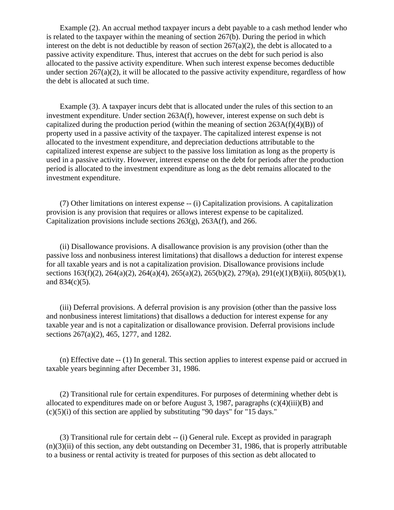Example (2). An accrual method taxpayer incurs a debt payable to a cash method lender who is related to the taxpayer within the meaning of section 267(b). During the period in which interest on the debt is not deductible by reason of section  $267(a)(2)$ , the debt is allocated to a passive activity expenditure. Thus, interest that accrues on the debt for such period is also allocated to the passive activity expenditure. When such interest expense becomes deductible under section  $267(a)(2)$ , it will be allocated to the passive activity expenditure, regardless of how the debt is allocated at such time.

 Example (3). A taxpayer incurs debt that is allocated under the rules of this section to an investment expenditure. Under section 263A(f), however, interest expense on such debt is capitalized during the production period (within the meaning of section  $263A(f)(4)(B)$ ) of property used in a passive activity of the taxpayer. The capitalized interest expense is not allocated to the investment expenditure, and depreciation deductions attributable to the capitalized interest expense are subject to the passive loss limitation as long as the property is used in a passive activity. However, interest expense on the debt for periods after the production period is allocated to the investment expenditure as long as the debt remains allocated to the investment expenditure.

 (7) Other limitations on interest expense -- (i) Capitalization provisions. A capitalization provision is any provision that requires or allows interest expense to be capitalized. Capitalization provisions include sections 263(g), 263A(f), and 266.

 (ii) Disallowance provisions. A disallowance provision is any provision (other than the passive loss and nonbusiness interest limitations) that disallows a deduction for interest expense for all taxable years and is not a capitalization provision. Disallowance provisions include sections 163(f)(2), 264(a)(2), 264(a)(4), 265(a)(2), 265(b)(2), 279(a), 291(e)(1)(B)(ii), 805(b)(1), and 834(c)(5).

 (iii) Deferral provisions. A deferral provision is any provision (other than the passive loss and nonbusiness interest limitations) that disallows a deduction for interest expense for any taxable year and is not a capitalization or disallowance provision. Deferral provisions include sections 267(a)(2), 465, 1277, and 1282.

 (n) Effective date -- (1) In general. This section applies to interest expense paid or accrued in taxable years beginning after December 31, 1986.

 (2) Transitional rule for certain expenditures. For purposes of determining whether debt is allocated to expenditures made on or before August 3, 1987, paragraphs  $(c)(4)(iii)(B)$  and  $(c)(5)(i)$  of this section are applied by substituting "90 days" for "15 days."

 (3) Transitional rule for certain debt -- (i) General rule. Except as provided in paragraph  $(n)(3)(ii)$  of this section, any debt outstanding on December 31, 1986, that is properly attributable to a business or rental activity is treated for purposes of this section as debt allocated to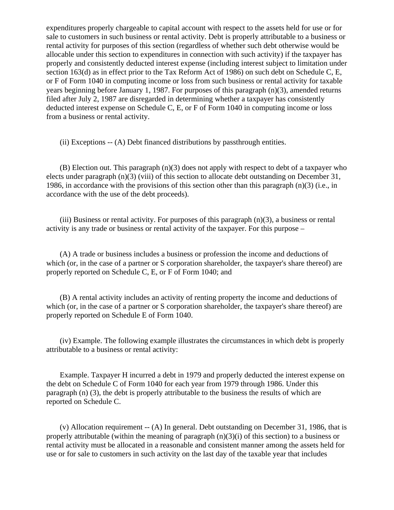expenditures properly chargeable to capital account with respect to the assets held for use or for sale to customers in such business or rental activity. Debt is properly attributable to a business or rental activity for purposes of this section (regardless of whether such debt otherwise would be allocable under this section to expenditures in connection with such activity) if the taxpayer has properly and consistently deducted interest expense (including interest subject to limitation under section 163(d) as in effect prior to the Tax Reform Act of 1986) on such debt on Schedule C, E, or F of Form 1040 in computing income or loss from such business or rental activity for taxable years beginning before January 1, 1987. For purposes of this paragraph (n)(3), amended returns filed after July 2, 1987 are disregarded in determining whether a taxpayer has consistently deducted interest expense on Schedule C, E, or F of Form 1040 in computing income or loss from a business or rental activity.

(ii) Exceptions -- (A) Debt financed distributions by passthrough entities.

 $(B)$  Election out. This paragraph  $(n)(3)$  does not apply with respect to debt of a taxpayer who elects under paragraph (n)(3) (viii) of this section to allocate debt outstanding on December 31, 1986, in accordance with the provisions of this section other than this paragraph (n)(3) (i.e., in accordance with the use of the debt proceeds).

(iii) Business or rental activity. For purposes of this paragraph  $(n)(3)$ , a business or rental activity is any trade or business or rental activity of the taxpayer. For this purpose –

 (A) A trade or business includes a business or profession the income and deductions of which (or, in the case of a partner or S corporation shareholder, the taxpayer's share thereof) are properly reported on Schedule C, E, or F of Form 1040; and

 (B) A rental activity includes an activity of renting property the income and deductions of which (or, in the case of a partner or S corporation shareholder, the taxpayer's share thereof) are properly reported on Schedule E of Form 1040.

 (iv) Example. The following example illustrates the circumstances in which debt is properly attributable to a business or rental activity:

 Example. Taxpayer H incurred a debt in 1979 and properly deducted the interest expense on the debt on Schedule C of Form 1040 for each year from 1979 through 1986. Under this paragraph (n) (3), the debt is properly attributable to the business the results of which are reported on Schedule C.

(v) Allocation requirement  $-$  (A) In general. Debt outstanding on December 31, 1986, that is properly attributable (within the meaning of paragraph  $(n)(3)(i)$  of this section) to a business or rental activity must be allocated in a reasonable and consistent manner among the assets held for use or for sale to customers in such activity on the last day of the taxable year that includes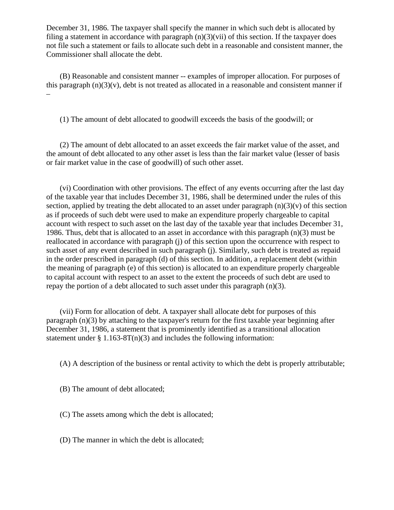December 31, 1986. The taxpayer shall specify the manner in which such debt is allocated by filing a statement in accordance with paragraph  $(n)(3)(\n{\text{vii}})$  of this section. If the taxpayer does not file such a statement or fails to allocate such debt in a reasonable and consistent manner, the Commissioner shall allocate the debt.

 (B) Reasonable and consistent manner -- examples of improper allocation. For purposes of this paragraph  $(n)(3)(v)$ , debt is not treated as allocated in a reasonable and consistent manner if –

(1) The amount of debt allocated to goodwill exceeds the basis of the goodwill; or

 (2) The amount of debt allocated to an asset exceeds the fair market value of the asset, and the amount of debt allocated to any other asset is less than the fair market value (lesser of basis or fair market value in the case of goodwill) of such other asset.

 (vi) Coordination with other provisions. The effect of any events occurring after the last day of the taxable year that includes December 31, 1986, shall be determined under the rules of this section, applied by treating the debt allocated to an asset under paragraph  $(n)(3)(v)$  of this section as if proceeds of such debt were used to make an expenditure properly chargeable to capital account with respect to such asset on the last day of the taxable year that includes December 31, 1986. Thus, debt that is allocated to an asset in accordance with this paragraph (n)(3) must be reallocated in accordance with paragraph (j) of this section upon the occurrence with respect to such asset of any event described in such paragraph (j). Similarly, such debt is treated as repaid in the order prescribed in paragraph (d) of this section. In addition, a replacement debt (within the meaning of paragraph (e) of this section) is allocated to an expenditure properly chargeable to capital account with respect to an asset to the extent the proceeds of such debt are used to repay the portion of a debt allocated to such asset under this paragraph (n)(3).

 (vii) Form for allocation of debt. A taxpayer shall allocate debt for purposes of this paragraph (n)(3) by attaching to the taxpayer's return for the first taxable year beginning after December 31, 1986, a statement that is prominently identified as a transitional allocation statement under  $\S 1.163-8T(n)(3)$  and includes the following information:

(A) A description of the business or rental activity to which the debt is properly attributable;

- (B) The amount of debt allocated;
- (C) The assets among which the debt is allocated;
- (D) The manner in which the debt is allocated;